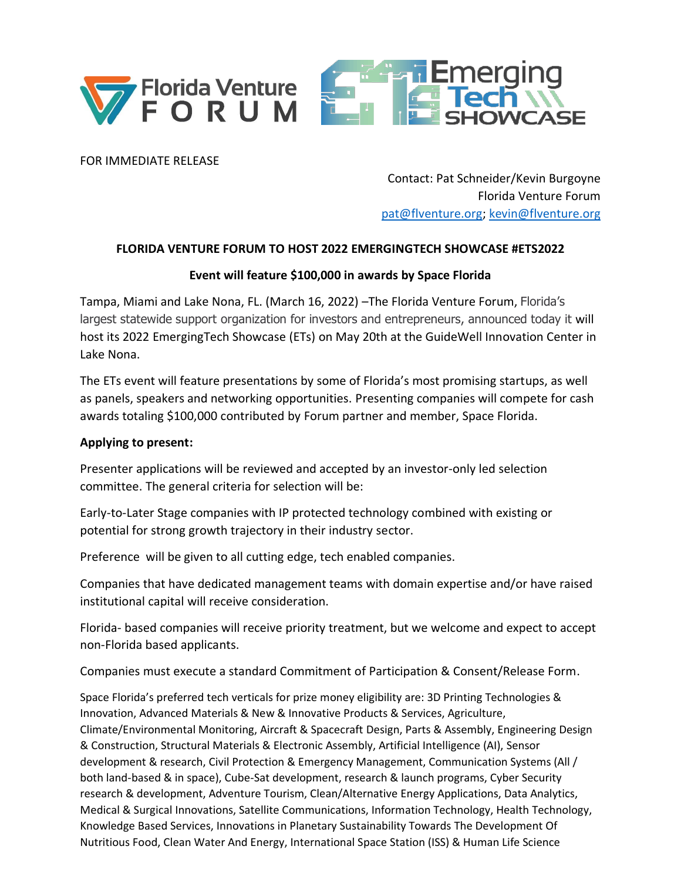



FOR IMMEDIATE RELEASE

Contact: Pat Schneider/Kevin Burgoyne Florida Venture Forum [pat@flventure.org;](mailto:pat@flventure.org) [kevin@flventure.org](mailto:kevin@flventure.org)

## **FLORIDA VENTURE FORUM TO HOST 2022 EMERGINGTECH SHOWCASE #ETS2022**

## **Event will feature \$100,000 in awards by Space Florida**

Tampa, Miami and Lake Nona, FL. (March 16, 2022) –The Florida Venture Forum, Florida's largest statewide support organization for investors and entrepreneurs, announced today it will host its 2022 EmergingTech Showcase (ETs) on May 20th at the GuideWell Innovation Center in Lake Nona.

The ETs event will feature presentations by some of Florida's most promising startups, as well as panels, speakers and networking opportunities. Presenting companies will compete for cash awards totaling \$100,000 contributed by Forum partner and member, Space Florida.

## **Applying to present:**

Presenter applications will be reviewed and accepted by an investor-only led selection committee. The general criteria for selection will be:

Early-to-Later Stage companies with IP protected technology combined with existing or potential for strong growth trajectory in their industry sector.

Preference will be given to all cutting edge, tech enabled companies.

Companies that have dedicated management teams with domain expertise and/or have raised institutional capital will receive consideration.

Florida- based companies will receive priority treatment, but we welcome and expect to accept non-Florida based applicants.

Companies must execute a standard Commitment of Participation & Consent/Release Form.

Space Florida's preferred tech verticals for prize money eligibility are: 3D Printing Technologies & Innovation, Advanced Materials & New & Innovative Products & Services, Agriculture, Climate/Environmental Monitoring, Aircraft & Spacecraft Design, Parts & Assembly, Engineering Design & Construction, Structural Materials & Electronic Assembly, Artificial Intelligence (AI), Sensor development & research, Civil Protection & Emergency Management, Communication Systems (All / both land-based & in space), Cube-Sat development, research & launch programs, Cyber Security research & development, Adventure Tourism, Clean/Alternative Energy Applications, Data Analytics, Medical & Surgical Innovations, Satellite Communications, Information Technology, Health Technology, Knowledge Based Services, Innovations in Planetary Sustainability Towards The Development Of Nutritious Food, Clean Water And Energy, International Space Station (ISS) & Human Life Science